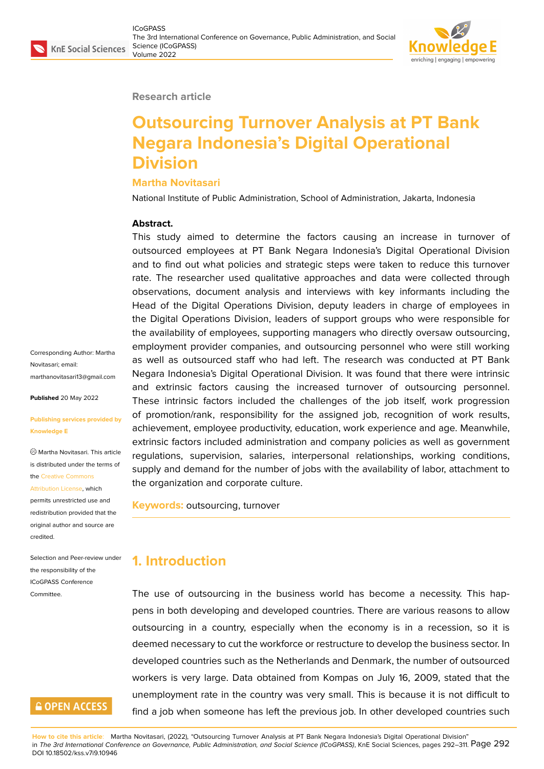#### **Research article**

# **Outsourcing Turnover Analysis at PT Bank Negara Indonesia's Digital Operational Division**

#### **Martha Novitasari**

National Institute of Public Administration, School of Administration, Jakarta, Indonesia

#### **Abstract.**

This study aimed to determine the factors causing an increase in turnover of outsourced employees at PT Bank Negara Indonesia's Digital Operational Division and to find out what policies and strategic steps were taken to reduce this turnover rate. The researcher used qualitative approaches and data were collected through observations, document analysis and interviews with key informants including the Head of the Digital Operations Division, deputy leaders in charge of employees in the Digital Operations Division, leaders of support groups who were responsible for the availability of employees, supporting managers who directly oversaw outsourcing, employment provider companies, and outsourcing personnel who were still working as well as outsourced staff who had left. The research was conducted at PT Bank Negara Indonesia's Digital Operational Division. It was found that there were intrinsic and extrinsic factors causing the increased turnover of outsourcing personnel. These intrinsic factors included the challenges of the job itself, work progression of promotion/rank, responsibility for the assigned job, recognition of work results, achievement, employee productivity, education, work experience and age. Meanwhile, extrinsic factors included administration and company policies as well as government regulations, supervision, salaries, interpersonal relationships, working conditions, supply and demand for the number of jobs with the availability of labor, attachment to the organization and corporate culture.

**Keywords:** outsourcing, turnover

### **1. Introduction**

The use of outsourcing in the business world has become a necessity. This happens in both developing and developed countries. There are various reasons to allow outsourcing in a country, especially when the economy is in a recession, so it is deemed necessary to cut the workforce or restructure to develop the business sector. In developed countries such as the Netherlands and Denmark, the number of outsourced workers is very large. Data obtained from Kompas on July 16, 2009, stated that the unemployment rate in the country was very small. This is because it is not difficult to find a job when someone has left the previous job. In other developed countries such

**How to cite this article**: Martha Novitasari, (2022), "Outsourcing Turnover Analysis at PT Bank Negara Indonesia's Digital Operational Division" in *The 3rd International Conference on Governance, Public Administration, and Social Science (ICoGPASS)*, KnE Social Sciences, pages 292–311. Page 292 DOI 10.18502/kss.v7i9.10946

Corresponding Author: Martha Novitasari; email: marthanovitasari13@gmail.com

**Published** 20 May 2022

#### **[Publishing services provided b](mailto:marthanovitasari13@gmail.com)y Knowledge E**

Martha Novitasari. This article is distributed under the terms of the Creative Commons

Attribution License, which

permits unrestricted use and redistribution provided that the orig[inal author and sou](https://creativecommons.org/licenses/by/4.0/)rce are [credited.](https://creativecommons.org/licenses/by/4.0/)

Selection and Peer-review under the responsibility of the ICoGPASS Conference Committee.

### **GOPEN ACCESS**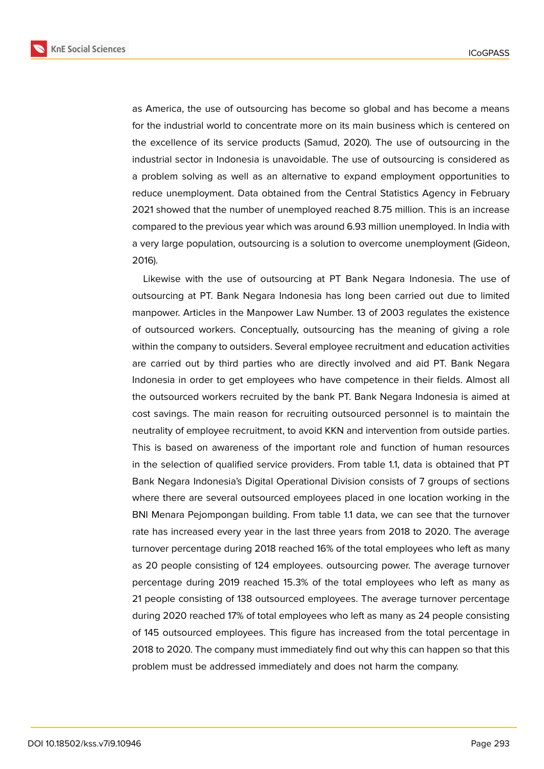**KnE Social Sciences** 



as America, the use of outsourcing has become so global and has become a means for the industrial world to concentrate more on its main business which is centered on the excellence of its service products (Samud, 2020). The use of outsourcing in the industrial sector in Indonesia is unavoidable. The use of outsourcing is considered as a problem solving as well as an alternative to expand employment opportunities to reduce unemployment. Data obtained from the Central Statistics Agency in February 2021 showed that the number of unemployed reached 8.75 million. This is an increase compared to the previous year which was around 6.93 million unemployed. In India with a very large population, outsourcing is a solution to overcome unemployment (Gideon, 2016).

Likewise with the use of outsourcing at PT Bank Negara Indonesia. The use of outsourcing at PT. Bank Negara Indonesia has long been carried out due to limited manpower. Articles in the Manpower Law Number. 13 of 2003 regulates the existence of outsourced workers. Conceptually, outsourcing has the meaning of giving a role within the company to outsiders. Several employee recruitment and education activities are carried out by third parties who are directly involved and aid PT. Bank Negara Indonesia in order to get employees who have competence in their fields. Almost all the outsourced workers recruited by the bank PT. Bank Negara Indonesia is aimed at cost savings. The main reason for recruiting outsourced personnel is to maintain the neutrality of employee recruitment, to avoid KKN and intervention from outside parties. This is based on awareness of the important role and function of human resources in the selection of qualified service providers. From table 1.1, data is obtained that PT Bank Negara Indonesia's Digital Operational Division consists of 7 groups of sections where there are several outsourced employees placed in one location working in the BNI Menara Pejompongan building. From table 1.1 data, we can see that the turnover rate has increased every year in the last three years from 2018 to 2020. The average turnover percentage during 2018 reached 16% of the total employees who left as many as 20 people consisting of 124 employees. outsourcing power. The average turnover percentage during 2019 reached 15.3% of the total employees who left as many as 21 people consisting of 138 outsourced employees. The average turnover percentage during 2020 reached 17% of total employees who left as many as 24 people consisting of 145 outsourced employees. This figure has increased from the total percentage in 2018 to 2020. The company must immediately find out why this can happen so that this problem must be addressed immediately and does not harm the company.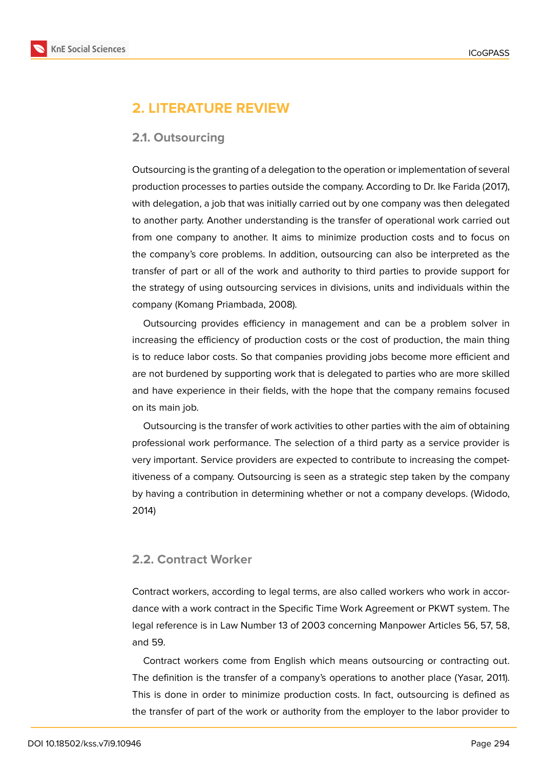

# **2. LITERATURE REVIEW**

### **2.1. Outsourcing**

Outsourcing is the granting of a delegation to the operation or implementation of several production processes to parties outside the company. According to Dr. Ike Farida (2017), with delegation, a job that was initially carried out by one company was then delegated to another party. Another understanding is the transfer of operational work carried out from one company to another. It aims to minimize production costs and to focus on the company's core problems. In addition, outsourcing can also be interpreted as the transfer of part or all of the work and authority to third parties to provide support for the strategy of using outsourcing services in divisions, units and individuals within the company (Komang Priambada, 2008).

Outsourcing provides efficiency in management and can be a problem solver in increasing the efficiency of production costs or the cost of production, the main thing is to reduce labor costs. So that companies providing jobs become more efficient and are not burdened by supporting work that is delegated to parties who are more skilled and have experience in their fields, with the hope that the company remains focused on its main job.

Outsourcing is the transfer of work activities to other parties with the aim of obtaining professional work performance. The selection of a third party as a service provider is very important. Service providers are expected to contribute to increasing the competitiveness of a company. Outsourcing is seen as a strategic step taken by the company by having a contribution in determining whether or not a company develops. (Widodo, 2014)

### **2.2. Contract Worker**

Contract workers, according to legal terms, are also called workers who work in accordance with a work contract in the Specific Time Work Agreement or PKWT system. The legal reference is in Law Number 13 of 2003 concerning Manpower Articles 56, 57, 58, and 59.

Contract workers come from English which means outsourcing or contracting out. The definition is the transfer of a company's operations to another place (Yasar, 2011). This is done in order to minimize production costs. In fact, outsourcing is defined as the transfer of part of the work or authority from the employer to the labor provider to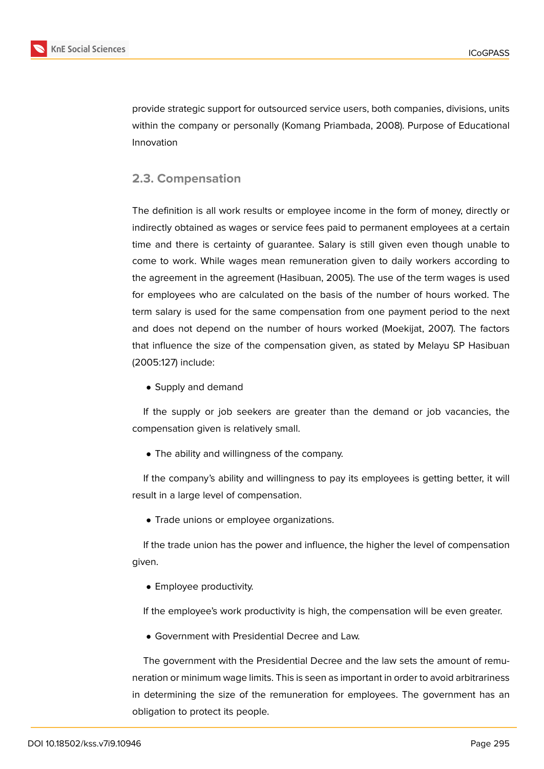

provide strategic support for outsourced service users, both companies, divisions, units within the company or personally (Komang Priambada, 2008). Purpose of Educational Innovation

### **2.3. Compensation**

The definition is all work results or employee income in the form of money, directly or indirectly obtained as wages or service fees paid to permanent employees at a certain time and there is certainty of guarantee. Salary is still given even though unable to come to work. While wages mean remuneration given to daily workers according to the agreement in the agreement (Hasibuan, 2005). The use of the term wages is used for employees who are calculated on the basis of the number of hours worked. The term salary is used for the same compensation from one payment period to the next and does not depend on the number of hours worked (Moekijat, 2007). The factors that influence the size of the compensation given, as stated by Melayu SP Hasibuan (2005:127) include:

• Supply and demand

If the supply or job seekers are greater than the demand or job vacancies, the compensation given is relatively small.

• The ability and willingness of the company.

If the company's ability and willingness to pay its employees is getting better, it will result in a large level of compensation.

• Trade unions or employee organizations.

If the trade union has the power and influence, the higher the level of compensation given.

• Employee productivity.

If the employee's work productivity is high, the compensation will be even greater.

• Government with Presidential Decree and Law.

The government with the Presidential Decree and the law sets the amount of remuneration or minimum wage limits. This is seen as important in order to avoid arbitrariness in determining the size of the remuneration for employees. The government has an obligation to protect its people.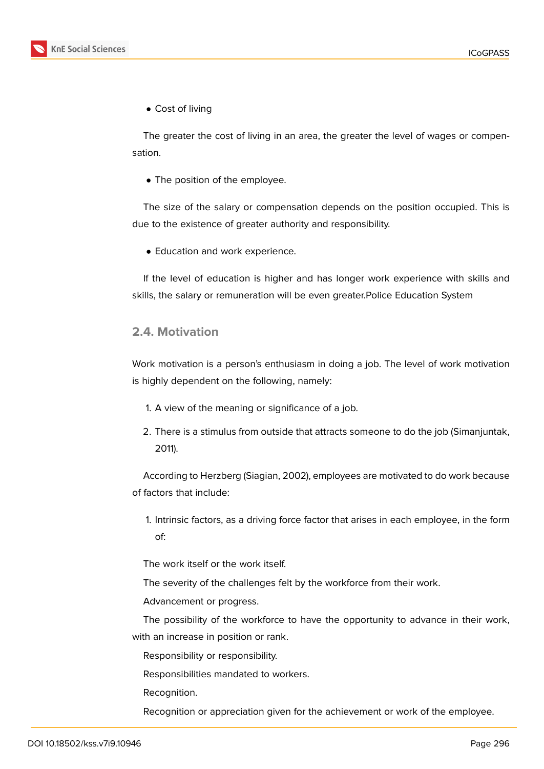• Cost of living

The greater the cost of living in an area, the greater the level of wages or compensation.

• The position of the employee.

The size of the salary or compensation depends on the position occupied. This is due to the existence of greater authority and responsibility.

• Education and work experience.

If the level of education is higher and has longer work experience with skills and skills, the salary or remuneration will be even greater.Police Education System

### **2.4. Motivation**

Work motivation is a person's enthusiasm in doing a job. The level of work motivation is highly dependent on the following, namely:

- 1. A view of the meaning or significance of a job.
- 2. There is a stimulus from outside that attracts someone to do the job (Simanjuntak, 2011).

According to Herzberg (Siagian, 2002), employees are motivated to do work because of factors that include:

1. Intrinsic factors, as a driving force factor that arises in each employee, in the form of:

The work itself or the work itself.

The severity of the challenges felt by the workforce from their work.

Advancement or progress.

The possibility of the workforce to have the opportunity to advance in their work, with an increase in position or rank.

Responsibility or responsibility.

Responsibilities mandated to workers.

Recognition.

Recognition or appreciation given for the achievement or work of the employee.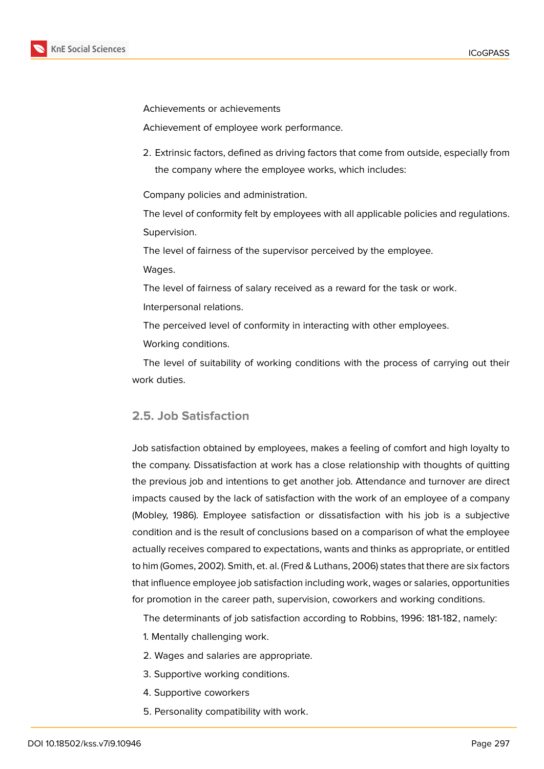

Achievements or achievements

Achievement of employee work performance.

2. Extrinsic factors, defined as driving factors that come from outside, especially from the company where the employee works, which includes:

Company policies and administration.

The level of conformity felt by employees with all applicable policies and regulations. Supervision.

The level of fairness of the supervisor perceived by the employee.

Wages.

The level of fairness of salary received as a reward for the task or work.

Interpersonal relations.

The perceived level of conformity in interacting with other employees.

Working conditions.

The level of suitability of working conditions with the process of carrying out their work duties.

### **2.5. Job Satisfaction**

Job satisfaction obtained by employees, makes a feeling of comfort and high loyalty to the company. Dissatisfaction at work has a close relationship with thoughts of quitting the previous job and intentions to get another job. Attendance and turnover are direct impacts caused by the lack of satisfaction with the work of an employee of a company (Mobley, 1986). Employee satisfaction or dissatisfaction with his job is a subjective condition and is the result of conclusions based on a comparison of what the employee actually receives compared to expectations, wants and thinks as appropriate, or entitled to him (Gomes, 2002). Smith, et. al. (Fred & Luthans, 2006) states that there are six factors that influence employee job satisfaction including work, wages or salaries, opportunities for promotion in the career path, supervision, coworkers and working conditions.

The determinants of job satisfaction according to Robbins, 1996: 181-182, namely:

- 1. Mentally challenging work.
- 2. Wages and salaries are appropriate.
- 3. Supportive working conditions.
- 4. Supportive coworkers
- 5. Personality compatibility with work.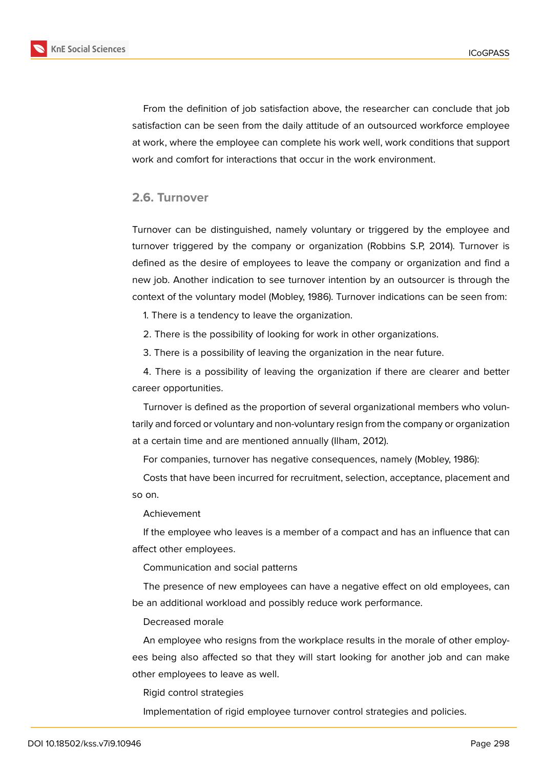

From the definition of job satisfaction above, the researcher can conclude that job satisfaction can be seen from the daily attitude of an outsourced workforce employee at work, where the employee can complete his work well, work conditions that support work and comfort for interactions that occur in the work environment.

### **2.6. Turnover**

Turnover can be distinguished, namely voluntary or triggered by the employee and turnover triggered by the company or organization (Robbins S.P, 2014). Turnover is defined as the desire of employees to leave the company or organization and find a new job. Another indication to see turnover intention by an outsourcer is through the context of the voluntary model (Mobley, 1986). Turnover indications can be seen from:

1. There is a tendency to leave the organization.

2. There is the possibility of looking for work in other organizations.

3. There is a possibility of leaving the organization in the near future.

4. There is a possibility of leaving the organization if there are clearer and better career opportunities.

Turnover is defined as the proportion of several organizational members who voluntarily and forced or voluntary and non-voluntary resign from the company or organization at a certain time and are mentioned annually (Ilham, 2012).

For companies, turnover has negative consequences, namely (Mobley, 1986):

Costs that have been incurred for recruitment, selection, acceptance, placement and so on.

Achievement

If the employee who leaves is a member of a compact and has an influence that can affect other employees.

Communication and social patterns

The presence of new employees can have a negative effect on old employees, can be an additional workload and possibly reduce work performance.

Decreased morale

An employee who resigns from the workplace results in the morale of other employees being also affected so that they will start looking for another job and can make other employees to leave as well.

Rigid control strategies

Implementation of rigid employee turnover control strategies and policies.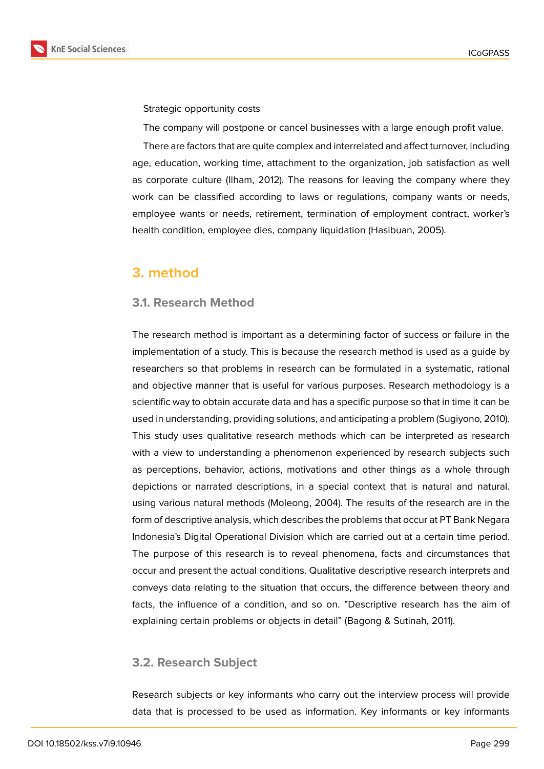

Strategic opportunity costs

The company will postpone or cancel businesses with a large enough profit value.

There are factors that are quite complex and interrelated and affect turnover, including age, education, working time, attachment to the organization, job satisfaction as well as corporate culture (Ilham, 2012). The reasons for leaving the company where they work can be classified according to laws or regulations, company wants or needs, employee wants or needs, retirement, termination of employment contract, worker's health condition, employee dies, company liquidation (Hasibuan, 2005).

### **3. method**

### **3.1. Research Method**

The research method is important as a determining factor of success or failure in the implementation of a study. This is because the research method is used as a guide by researchers so that problems in research can be formulated in a systematic, rational and objective manner that is useful for various purposes. Research methodology is a scientific way to obtain accurate data and has a specific purpose so that in time it can be used in understanding, providing solutions, and anticipating a problem (Sugiyono, 2010). This study uses qualitative research methods which can be interpreted as research with a view to understanding a phenomenon experienced by research subjects such as perceptions, behavior, actions, motivations and other things as a whole through depictions or narrated descriptions, in a special context that is natural and natural. using various natural methods (Moleong, 2004). The results of the research are in the form of descriptive analysis, which describes the problems that occur at PT Bank Negara Indonesia's Digital Operational Division which are carried out at a certain time period. The purpose of this research is to reveal phenomena, facts and circumstances that occur and present the actual conditions. Qualitative descriptive research interprets and conveys data relating to the situation that occurs, the difference between theory and facts, the influence of a condition, and so on. "Descriptive research has the aim of explaining certain problems or objects in detail" (Bagong & Sutinah, 2011).

### **3.2. Research Subject**

Research subjects or key informants who carry out the interview process will provide data that is processed to be used as information. Key informants or key informants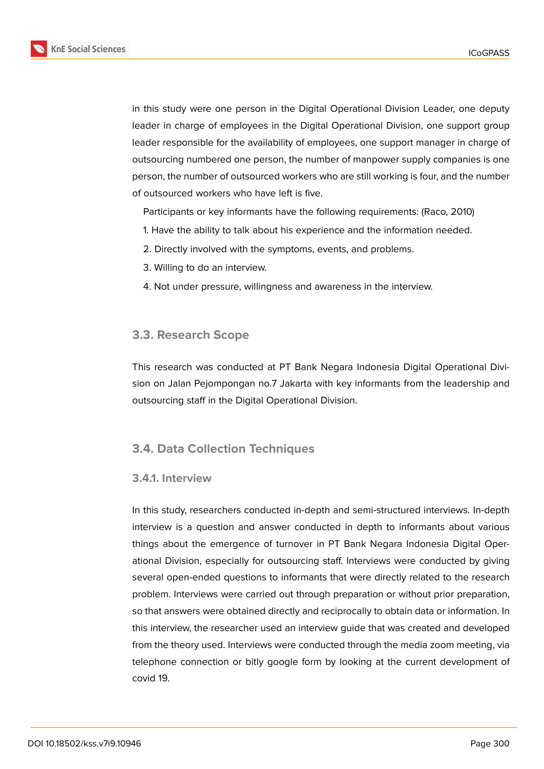

in this study were one person in the Digital Operational Division Leader, one deputy leader in charge of employees in the Digital Operational Division, one support group leader responsible for the availability of employees, one support manager in charge of outsourcing numbered one person, the number of manpower supply companies is one person, the number of outsourced workers who are still working is four, and the number of outsourced workers who have left is five.

Participants or key informants have the following requirements: (Raco, 2010)

- 1. Have the ability to talk about his experience and the information needed.
- 2. Directly involved with the symptoms, events, and problems.
- 3. Willing to do an interview.
- 4. Not under pressure, willingness and awareness in the interview.

### **3.3. Research Scope**

This research was conducted at PT Bank Negara Indonesia Digital Operational Division on Jalan Pejompongan no.7 Jakarta with key informants from the leadership and outsourcing staff in the Digital Operational Division.

### **3.4. Data Collection Techniques**

#### **3.4.1. Interview**

In this study, researchers conducted in-depth and semi-structured interviews. In-depth interview is a question and answer conducted in depth to informants about various things about the emergence of turnover in PT Bank Negara Indonesia Digital Operational Division, especially for outsourcing staff. Interviews were conducted by giving several open-ended questions to informants that were directly related to the research problem. Interviews were carried out through preparation or without prior preparation, so that answers were obtained directly and reciprocally to obtain data or information. In this interview, the researcher used an interview guide that was created and developed from the theory used. Interviews were conducted through the media zoom meeting, via telephone connection or bitly google form by looking at the current development of covid 19.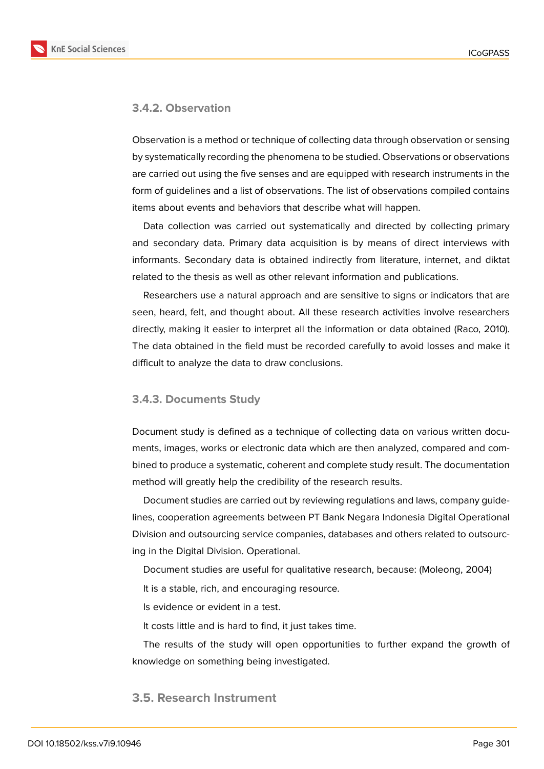

#### **3.4.2. Observation**

Observation is a method or technique of collecting data through observation or sensing by systematically recording the phenomena to be studied. Observations or observations are carried out using the five senses and are equipped with research instruments in the form of guidelines and a list of observations. The list of observations compiled contains items about events and behaviors that describe what will happen.

Data collection was carried out systematically and directed by collecting primary and secondary data. Primary data acquisition is by means of direct interviews with informants. Secondary data is obtained indirectly from literature, internet, and diktat related to the thesis as well as other relevant information and publications.

Researchers use a natural approach and are sensitive to signs or indicators that are seen, heard, felt, and thought about. All these research activities involve researchers directly, making it easier to interpret all the information or data obtained (Raco, 2010). The data obtained in the field must be recorded carefully to avoid losses and make it difficult to analyze the data to draw conclusions.

#### **3.4.3. Documents Study**

Document study is defined as a technique of collecting data on various written documents, images, works or electronic data which are then analyzed, compared and combined to produce a systematic, coherent and complete study result. The documentation method will greatly help the credibility of the research results.

Document studies are carried out by reviewing regulations and laws, company guidelines, cooperation agreements between PT Bank Negara Indonesia Digital Operational Division and outsourcing service companies, databases and others related to outsourcing in the Digital Division. Operational.

Document studies are useful for qualitative research, because: (Moleong, 2004)

It is a stable, rich, and encouraging resource.

Is evidence or evident in a test.

It costs little and is hard to find, it just takes time.

The results of the study will open opportunities to further expand the growth of knowledge on something being investigated.

### **3.5. Research Instrument**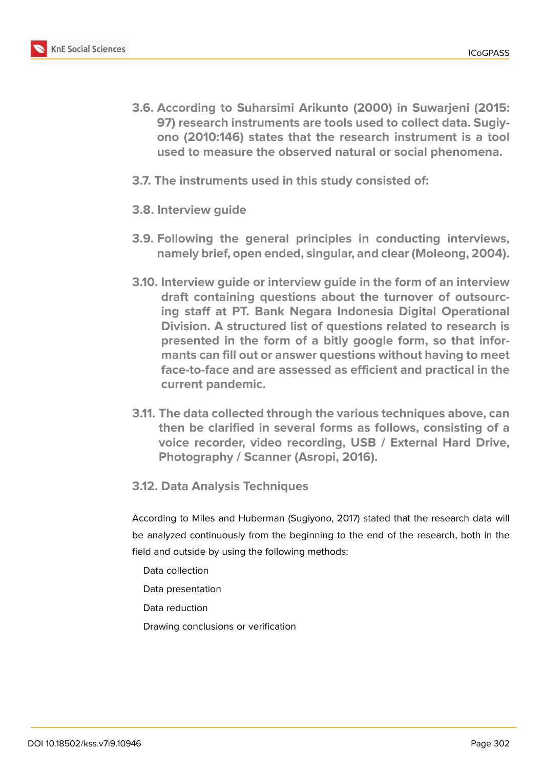

- **3.6. According to Suharsimi Arikunto (2000) in Suwarjeni (2015: 97) research instruments are tools used to collect data. Sugiyono (2010:146) states that the research instrument is a tool used to measure the observed natural or social phenomena.**
- **3.7. The instruments used in this study consisted of:**
- **3.8. Interview guide**
- **3.9. Following the general principles in conducting interviews, namely brief, open ended, singular, and clear (Moleong, 2004).**
- **3.10. Interview guide or interview guide in the form of an interview draft containing questions about the turnover of outsourcing staff at PT. Bank Negara Indonesia Digital Operational Division. A structured list of questions related to research is presented in the form of a bitly google form, so that informants can fill out or answer questions without having to meet face-to-face and are assessed as efficient and practical in the current pandemic.**
- **3.11. The data collected through the various techniques above, can then be clarified in several forms as follows, consisting of a voice recorder, video recording, USB / External Hard Drive, Photography / Scanner (Asropi, 2016).**
- **3.12. Data Analysis Techniques**

According to Miles and Huberman (Sugiyono, 2017) stated that the research data will be analyzed continuously from the beginning to the end of the research, both in the field and outside by using the following methods:

- Data collection
- Data presentation
- Data reduction
- Drawing conclusions or verification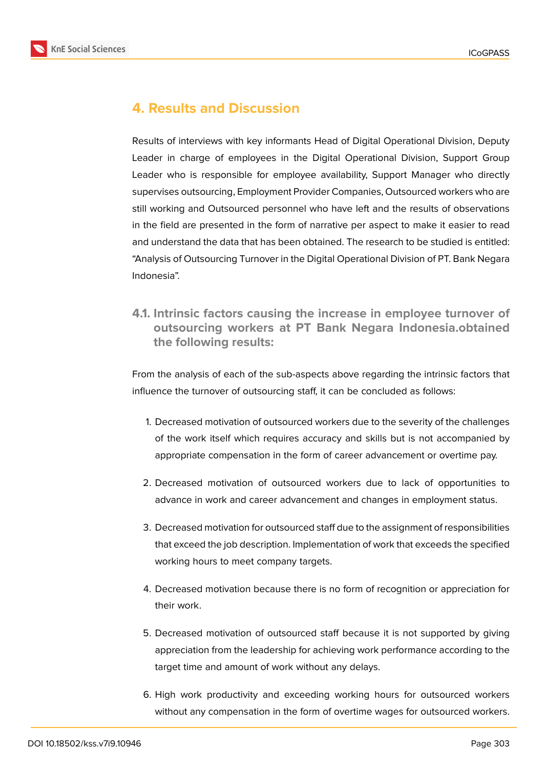



# **4. Results and Discussion**

Results of interviews with key informants Head of Digital Operational Division, Deputy Leader in charge of employees in the Digital Operational Division, Support Group Leader who is responsible for employee availability, Support Manager who directly supervises outsourcing, Employment Provider Companies, Outsourced workers who are still working and Outsourced personnel who have left and the results of observations in the field are presented in the form of narrative per aspect to make it easier to read and understand the data that has been obtained. The research to be studied is entitled: "Analysis of Outsourcing Turnover in the Digital Operational Division of PT. Bank Negara Indonesia".

**4.1. Intrinsic factors causing the increase in employee turnover of outsourcing workers at PT Bank Negara Indonesia.obtained the following results:**

From the analysis of each of the sub-aspects above regarding the intrinsic factors that influence the turnover of outsourcing staff, it can be concluded as follows:

- 1. Decreased motivation of outsourced workers due to the severity of the challenges of the work itself which requires accuracy and skills but is not accompanied by appropriate compensation in the form of career advancement or overtime pay.
- 2. Decreased motivation of outsourced workers due to lack of opportunities to advance in work and career advancement and changes in employment status.
- 3. Decreased motivation for outsourced staff due to the assignment of responsibilities that exceed the job description. Implementation of work that exceeds the specified working hours to meet company targets.
- 4. Decreased motivation because there is no form of recognition or appreciation for their work.
- 5. Decreased motivation of outsourced staff because it is not supported by giving appreciation from the leadership for achieving work performance according to the target time and amount of work without any delays.
- 6. High work productivity and exceeding working hours for outsourced workers without any compensation in the form of overtime wages for outsourced workers.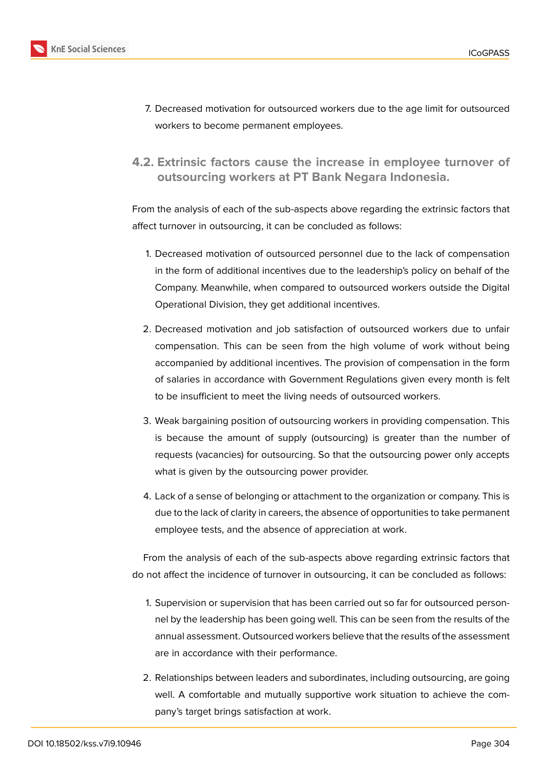

- 7. Decreased motivation for outsourced workers due to the age limit for outsourced workers to become permanent employees.
- **4.2. Extrinsic factors cause the increase in employee turnover of outsourcing workers at PT Bank Negara Indonesia.**

From the analysis of each of the sub-aspects above regarding the extrinsic factors that affect turnover in outsourcing, it can be concluded as follows:

- 1. Decreased motivation of outsourced personnel due to the lack of compensation in the form of additional incentives due to the leadership's policy on behalf of the Company. Meanwhile, when compared to outsourced workers outside the Digital Operational Division, they get additional incentives.
- 2. Decreased motivation and job satisfaction of outsourced workers due to unfair compensation. This can be seen from the high volume of work without being accompanied by additional incentives. The provision of compensation in the form of salaries in accordance with Government Regulations given every month is felt to be insufficient to meet the living needs of outsourced workers.
- 3. Weak bargaining position of outsourcing workers in providing compensation. This is because the amount of supply (outsourcing) is greater than the number of requests (vacancies) for outsourcing. So that the outsourcing power only accepts what is given by the outsourcing power provider.
- 4. Lack of a sense of belonging or attachment to the organization or company. This is due to the lack of clarity in careers, the absence of opportunities to take permanent employee tests, and the absence of appreciation at work.

From the analysis of each of the sub-aspects above regarding extrinsic factors that do not affect the incidence of turnover in outsourcing, it can be concluded as follows:

- 1. Supervision or supervision that has been carried out so far for outsourced personnel by the leadership has been going well. This can be seen from the results of the annual assessment. Outsourced workers believe that the results of the assessment are in accordance with their performance.
- 2. Relationships between leaders and subordinates, including outsourcing, are going well. A comfortable and mutually supportive work situation to achieve the company's target brings satisfaction at work.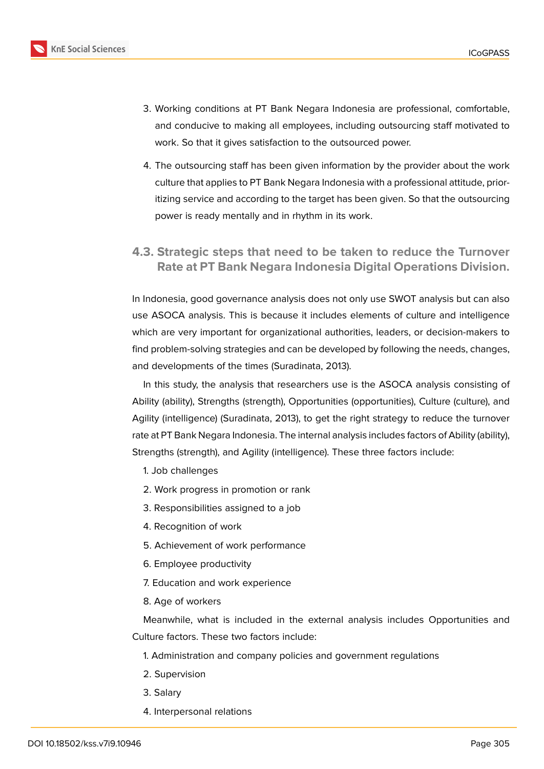

- 3. Working conditions at PT Bank Negara Indonesia are professional, comfortable, and conducive to making all employees, including outsourcing staff motivated to work. So that it gives satisfaction to the outsourced power.
- 4. The outsourcing staff has been given information by the provider about the work culture that applies to PT Bank Negara Indonesia with a professional attitude, prioritizing service and according to the target has been given. So that the outsourcing power is ready mentally and in rhythm in its work.
- **4.3. Strategic steps that need to be taken to reduce the Turnover Rate at PT Bank Negara Indonesia Digital Operations Division.**

In Indonesia, good governance analysis does not only use SWOT analysis but can also use ASOCA analysis. This is because it includes elements of culture and intelligence which are very important for organizational authorities, leaders, or decision-makers to find problem-solving strategies and can be developed by following the needs, changes, and developments of the times (Suradinata, 2013).

In this study, the analysis that researchers use is the ASOCA analysis consisting of Ability (ability), Strengths (strength), Opportunities (opportunities), Culture (culture), and Agility (intelligence) (Suradinata, 2013), to get the right strategy to reduce the turnover rate at PT Bank Negara Indonesia. The internal analysis includes factors of Ability (ability), Strengths (strength), and Agility (intelligence). These three factors include:

- 1. Job challenges
- 2. Work progress in promotion or rank
- 3. Responsibilities assigned to a job
- 4. Recognition of work
- 5. Achievement of work performance
- 6. Employee productivity
- 7. Education and work experience
- 8. Age of workers

Meanwhile, what is included in the external analysis includes Opportunities and Culture factors. These two factors include:

- 1. Administration and company policies and government regulations
- 2. Supervision
- 3. Salary
- 4. Interpersonal relations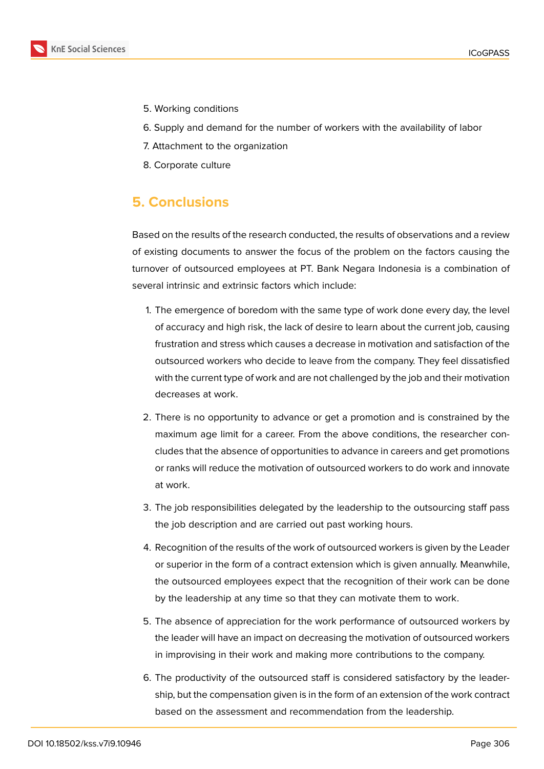

- 5. Working conditions
- 6. Supply and demand for the number of workers with the availability of labor
- 7. Attachment to the organization
- 8. Corporate culture

## **5. Conclusions**

Based on the results of the research conducted, the results of observations and a review of existing documents to answer the focus of the problem on the factors causing the turnover of outsourced employees at PT. Bank Negara Indonesia is a combination of several intrinsic and extrinsic factors which include:

- 1. The emergence of boredom with the same type of work done every day, the level of accuracy and high risk, the lack of desire to learn about the current job, causing frustration and stress which causes a decrease in motivation and satisfaction of the outsourced workers who decide to leave from the company. They feel dissatisfied with the current type of work and are not challenged by the job and their motivation decreases at work.
- 2. There is no opportunity to advance or get a promotion and is constrained by the maximum age limit for a career. From the above conditions, the researcher concludes that the absence of opportunities to advance in careers and get promotions or ranks will reduce the motivation of outsourced workers to do work and innovate at work.
- 3. The job responsibilities delegated by the leadership to the outsourcing staff pass the job description and are carried out past working hours.
- 4. Recognition of the results of the work of outsourced workers is given by the Leader or superior in the form of a contract extension which is given annually. Meanwhile, the outsourced employees expect that the recognition of their work can be done by the leadership at any time so that they can motivate them to work.
- 5. The absence of appreciation for the work performance of outsourced workers by the leader will have an impact on decreasing the motivation of outsourced workers in improvising in their work and making more contributions to the company.
- 6. The productivity of the outsourced staff is considered satisfactory by the leadership, but the compensation given is in the form of an extension of the work contract based on the assessment and recommendation from the leadership.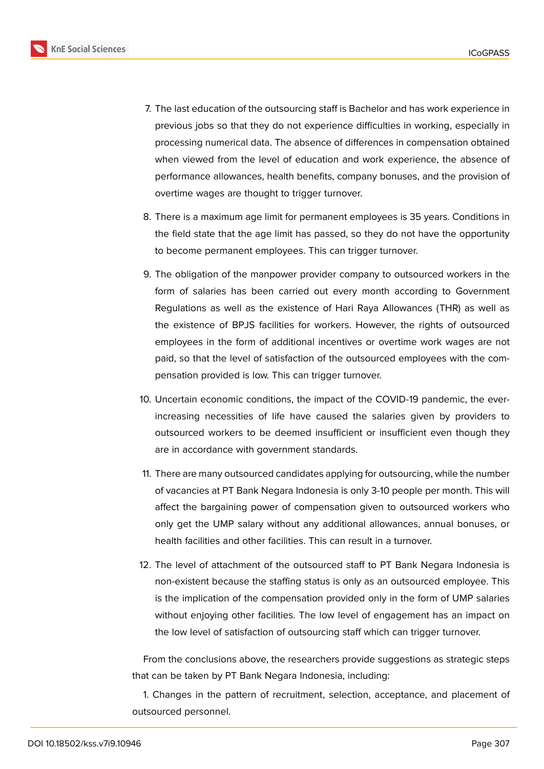

- 7. The last education of the outsourcing staff is Bachelor and has work experience in previous jobs so that they do not experience difficulties in working, especially in processing numerical data. The absence of differences in compensation obtained when viewed from the level of education and work experience, the absence of performance allowances, health benefits, company bonuses, and the provision of overtime wages are thought to trigger turnover.
- 8. There is a maximum age limit for permanent employees is 35 years. Conditions in the field state that the age limit has passed, so they do not have the opportunity to become permanent employees. This can trigger turnover.
- 9. The obligation of the manpower provider company to outsourced workers in the form of salaries has been carried out every month according to Government Regulations as well as the existence of Hari Raya Allowances (THR) as well as the existence of BPJS facilities for workers. However, the rights of outsourced employees in the form of additional incentives or overtime work wages are not paid, so that the level of satisfaction of the outsourced employees with the compensation provided is low. This can trigger turnover.
- 10. Uncertain economic conditions, the impact of the COVID-19 pandemic, the everincreasing necessities of life have caused the salaries given by providers to outsourced workers to be deemed insufficient or insufficient even though they are in accordance with government standards.
- 11. There are many outsourced candidates applying for outsourcing, while the number of vacancies at PT Bank Negara Indonesia is only 3-10 people per month. This will affect the bargaining power of compensation given to outsourced workers who only get the UMP salary without any additional allowances, annual bonuses, or health facilities and other facilities. This can result in a turnover.
- 12. The level of attachment of the outsourced staff to PT Bank Negara Indonesia is non-existent because the staffing status is only as an outsourced employee. This is the implication of the compensation provided only in the form of UMP salaries without enjoying other facilities. The low level of engagement has an impact on the low level of satisfaction of outsourcing staff which can trigger turnover.

From the conclusions above, the researchers provide suggestions as strategic steps that can be taken by PT Bank Negara Indonesia, including:

1. Changes in the pattern of recruitment, selection, acceptance, and placement of outsourced personnel.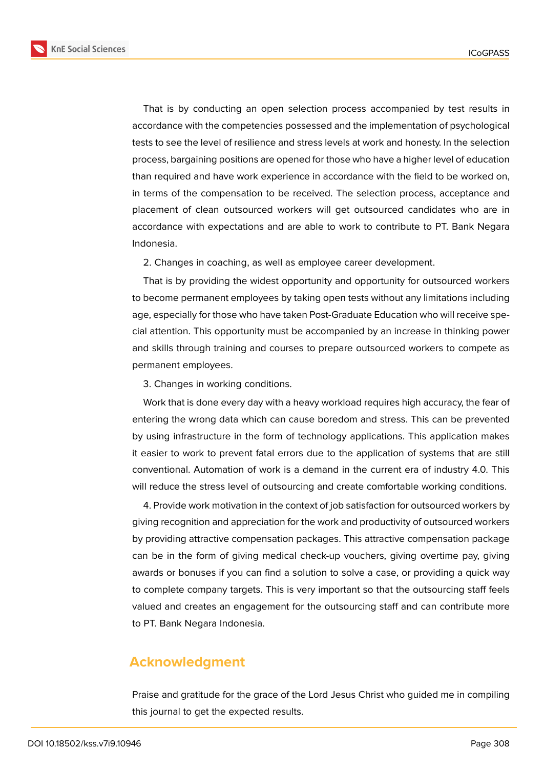**KnE Social Sciences** 



That is by conducting an open selection process accompanied by test results in accordance with the competencies possessed and the implementation of psychological tests to see the level of resilience and stress levels at work and honesty. In the selection process, bargaining positions are opened for those who have a higher level of education than required and have work experience in accordance with the field to be worked on, in terms of the compensation to be received. The selection process, acceptance and placement of clean outsourced workers will get outsourced candidates who are in accordance with expectations and are able to work to contribute to PT. Bank Negara Indonesia.

2. Changes in coaching, as well as employee career development.

That is by providing the widest opportunity and opportunity for outsourced workers to become permanent employees by taking open tests without any limitations including age, especially for those who have taken Post-Graduate Education who will receive special attention. This opportunity must be accompanied by an increase in thinking power and skills through training and courses to prepare outsourced workers to compete as permanent employees.

3. Changes in working conditions.

Work that is done every day with a heavy workload requires high accuracy, the fear of entering the wrong data which can cause boredom and stress. This can be prevented by using infrastructure in the form of technology applications. This application makes it easier to work to prevent fatal errors due to the application of systems that are still conventional. Automation of work is a demand in the current era of industry 4.0. This will reduce the stress level of outsourcing and create comfortable working conditions.

4. Provide work motivation in the context of job satisfaction for outsourced workers by giving recognition and appreciation for the work and productivity of outsourced workers by providing attractive compensation packages. This attractive compensation package can be in the form of giving medical check-up vouchers, giving overtime pay, giving awards or bonuses if you can find a solution to solve a case, or providing a quick way to complete company targets. This is very important so that the outsourcing staff feels valued and creates an engagement for the outsourcing staff and can contribute more to PT. Bank Negara Indonesia.

### **Acknowledgment**

Praise and gratitude for the grace of the Lord Jesus Christ who guided me in compiling this journal to get the expected results.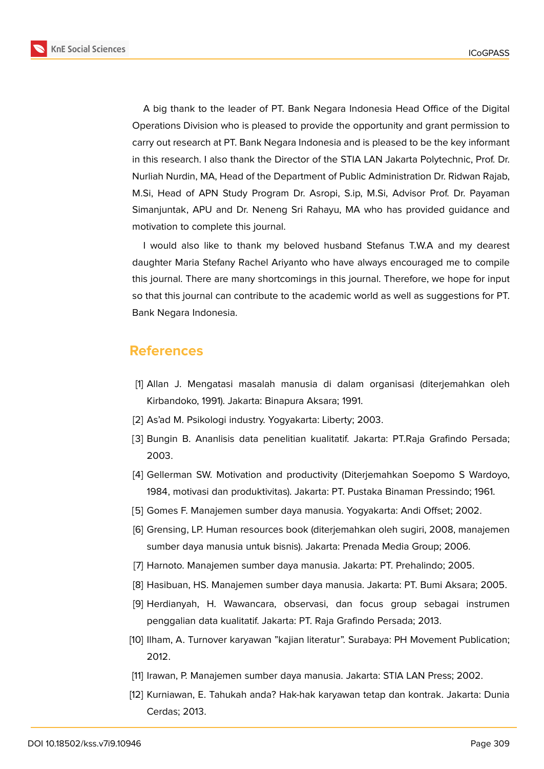**KnE Social Sciences** 



A big thank to the leader of PT. Bank Negara Indonesia Head Office of the Digital Operations Division who is pleased to provide the opportunity and grant permission to carry out research at PT. Bank Negara Indonesia and is pleased to be the key informant in this research. I also thank the Director of the STIA LAN Jakarta Polytechnic, Prof. Dr. Nurliah Nurdin, MA, Head of the Department of Public Administration Dr. Ridwan Rajab, M.Si, Head of APN Study Program Dr. Asropi, S.ip, M.Si, Advisor Prof. Dr. Payaman Simanjuntak, APU and Dr. Neneng Sri Rahayu, MA who has provided guidance and motivation to complete this journal.

I would also like to thank my beloved husband Stefanus T.W.A and my dearest daughter Maria Stefany Rachel Ariyanto who have always encouraged me to compile this journal. There are many shortcomings in this journal. Therefore, we hope for input so that this journal can contribute to the academic world as well as suggestions for PT. Bank Negara Indonesia.

### **References**

- [1] Allan J. Mengatasi masalah manusia di dalam organisasi (diterjemahkan oleh Kirbandoko, 1991). Jakarta: Binapura Aksara; 1991.
- [2] As'ad M. Psikologi industry. Yogyakarta: Liberty; 2003.
- [3] Bungin B. Ananlisis data penelitian kualitatif. Jakarta: PT.Raja Grafindo Persada; 2003.
- [4] Gellerman SW. Motivation and productivity (Diterjemahkan Soepomo S Wardoyo, 1984, motivasi dan produktivitas). Jakarta: PT. Pustaka Binaman Pressindo; 1961.
- [5] Gomes F. Manajemen sumber daya manusia. Yogyakarta: Andi Offset; 2002.
- [6] Grensing, LP. Human resources book (diterjemahkan oleh sugiri, 2008, manajemen sumber daya manusia untuk bisnis). Jakarta: Prenada Media Group; 2006.
- [7] Harnoto. Manajemen sumber daya manusia. Jakarta: PT. Prehalindo; 2005.
- [8] Hasibuan, HS. Manajemen sumber daya manusia. Jakarta: PT. Bumi Aksara; 2005.
- [9] Herdianyah, H. Wawancara, observasi, dan focus group sebagai instrumen penggalian data kualitatif. Jakarta: PT. Raja Grafindo Persada; 2013.
- [10] Ilham, A. Turnover karyawan "kajian literatur". Surabaya: PH Movement Publication; 2012.
- [11] Irawan, P. Manajemen sumber daya manusia. Jakarta: STIA LAN Press; 2002.
- [12] Kurniawan, E. Tahukah anda? Hak-hak karyawan tetap dan kontrak. Jakarta: Dunia Cerdas; 2013.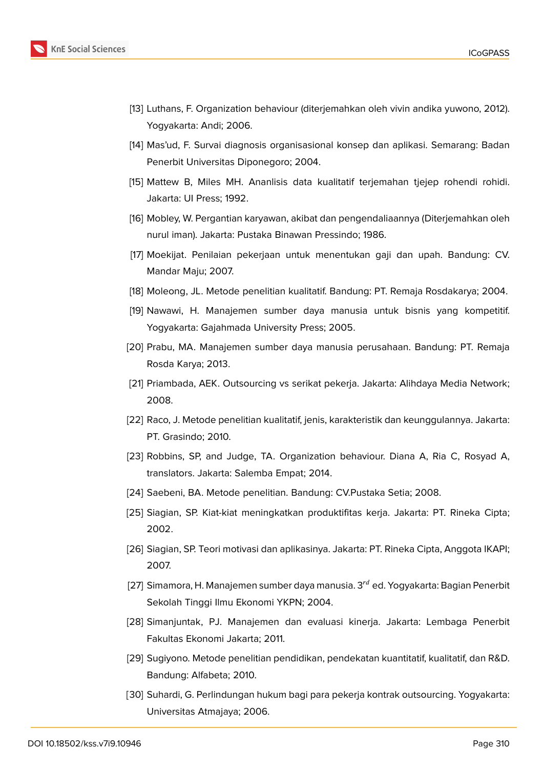

- [13] Luthans, F. Organization behaviour (diterjemahkan oleh vivin andika yuwono, 2012). Yogyakarta: Andi; 2006.
- [14] Mas'ud, F. Survai diagnosis organisasional konsep dan aplikasi. Semarang: Badan Penerbit Universitas Diponegoro; 2004.
- [15] Mattew B, Miles MH. Ananlisis data kualitatif terjemahan tjejep rohendi rohidi. Jakarta: UI Press; 1992.
- [16] Mobley, W. Pergantian karyawan, akibat dan pengendaliaannya (Diterjemahkan oleh nurul iman). Jakarta: Pustaka Binawan Pressindo; 1986.
- [17] Moekijat. Penilaian pekerjaan untuk menentukan gaji dan upah. Bandung: CV. Mandar Maju; 2007.
- [18] Moleong, JL. Metode penelitian kualitatif. Bandung: PT. Remaja Rosdakarya; 2004.
- [19] Nawawi, H. Manajemen sumber daya manusia untuk bisnis yang kompetitif. Yogyakarta: Gajahmada University Press; 2005.
- [20] Prabu, MA. Manajemen sumber daya manusia perusahaan. Bandung: PT. Remaja Rosda Karya; 2013.
- [21] Priambada, AEK. Outsourcing vs serikat pekerja. Jakarta: Alihdaya Media Network; 2008.
- [22] Raco, J. Metode penelitian kualitatif, jenis, karakteristik dan keunggulannya. Jakarta: PT. Grasindo; 2010.
- [23] Robbins, SP, and Judge, TA. Organization behaviour. Diana A, Ria C, Rosyad A, translators. Jakarta: Salemba Empat; 2014.
- [24] Saebeni, BA. Metode penelitian. Bandung: CV.Pustaka Setia; 2008.
- [25] Siagian, SP. Kiat-kiat meningkatkan produktifitas kerja. Jakarta: PT. Rineka Cipta; 2002.
- [26] Siagian, SP. Teori motivasi dan aplikasinya. Jakarta: PT. Rineka Cipta, Anggota IKAPI; 2007.
- [27] Simamora, H. Manajemen sumber daya manusia.  $3<sup>rd</sup>$  ed. Yogyakarta: Bagian Penerbit Sekolah Tinggi Ilmu Ekonomi YKPN; 2004.
- [28] Simanjuntak, PJ. Manajemen dan evaluasi kinerja. Jakarta: Lembaga Penerbit Fakultas Ekonomi Jakarta; 2011.
- [29] Sugiyono. Metode penelitian pendidikan, pendekatan kuantitatif, kualitatif, dan R&D. Bandung: Alfabeta; 2010.
- [30] Suhardi, G. Perlindungan hukum bagi para pekerja kontrak outsourcing. Yogyakarta: Universitas Atmajaya; 2006.